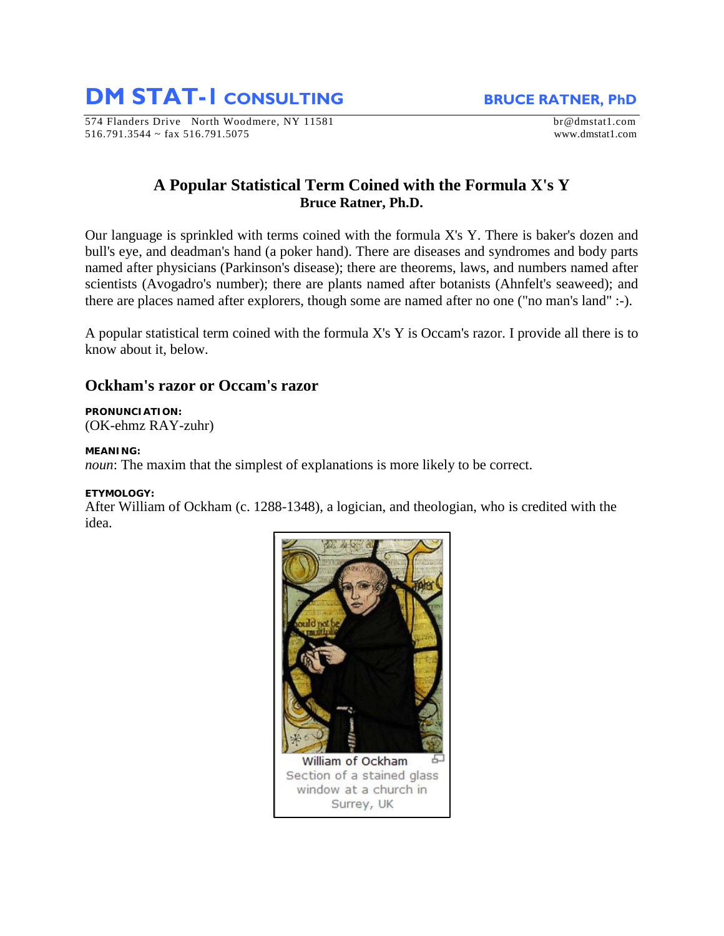**DM STAT-1 CONSULTING BRUCE RATNER, PhD** 

574 Flanders Drive North Woodmere, NY 11581 br@dmstat1.com 516.791.3544 ~ fax 516.791.5075 www.dmstat1.com

# **A Popular Statistical Term Coined with the Formula X's Y Bruce Ratner, Ph.D.**

Our language is sprinkled with terms coined with the formula X's Y. There is baker's dozen and bull's eye, and deadman's hand (a poker hand). There are diseases and syndromes and body parts named after physicians (Parkinson's disease); there are theorems, laws, and numbers named after scientists (Avogadro's number); there are plants named after botanists (Ahnfelt's seaweed); and there are places named after explorers, though some are named after no one ("no man's land" :-).

A popular statistical term coined with the formula X's Y is Occam's razor. I provide all there is to know about it, below.

## **Ockham's razor or Occam's razor**

# **PRONUNCIATION:**

(OK-ehmz RAY-zuhr)

## **MEANING:**

*noun*: The maxim that the simplest of explanations is more likely to be correct.

## **ETYMOLOGY:**

After William of Ockham (c. 1288-1348), a logician, and theologian, who is credited with the idea.